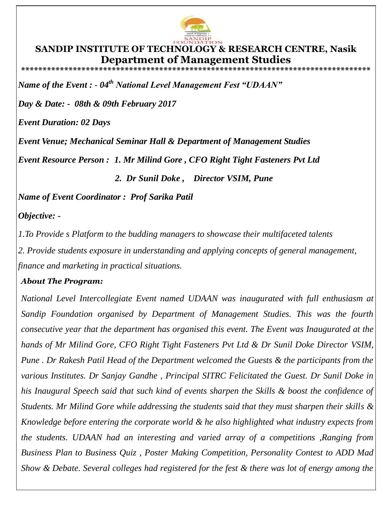

## **SANDIP INSTITUTE OF TECHNOLOGY & RESEARCH CENTRE, Nasik Department of Management Studies**

**\*\*\*\*\*\*\*\*\*\*\*\*\*\*\*\*\*\*\*\*\*\*\*\*\*\*\*\*\*\*\*\*\*\*\*\*\*\*\*\*\*\*\*\*\*\*\*\*\*\*\*\*\*\*\*\*\*\*\*\*\*\*\*\*\*\*\*\*\*\*\*\*\*\*\*\*\*\*\*\*\*** *Name of the Event : - 04th National Level Management Fest "UDAAN" Day & Date: - 08th & 09th February 2017 Event Duration: 02 Days Event Venue; Mechanical Seminar Hall & Department of Management Studies Event Resource Person : 1. Mr Milind Gore , CFO Right Tight Fasteners Pvt Ltd 2. Dr Sunil Doke , Director VSIM, Pune Name of Event Coordinator : Prof Sarika Patil* 

### *Objective: -*

*1.To Provide s Platform to the budding managers to showcase their multifaceted talents 2. Provide students exposure in understanding and applying concepts of general management, finance and marketing in practical situations.*

### *About The Program:*

*National Level Intercollegiate Event named UDAAN was inaugurated with full enthusiasm at Sandip Foundation organised by Department of Management Studies. This was the fourth consecutive year that the department has organised this event. The Event was Inaugurated at the hands of Mr Milind Gore, CFO Right Tight Fasteners Pvt Ltd & Dr Sunil Doke Director VSIM, Pune . Dr Rakesh Patil Head of the Department welcomed the Guests & the participants from the various Institutes. Dr Sanjay Gandhe , Principal SITRC Felicitated the Guest. Dr Sunil Doke in his Inaugural Speech said that such kind of events sharpen the Skills & boost the confidence of Students. Mr Milind Gore while addressing the students said that they must sharpen their skills & Knowledge before entering the corporate world & he also highlighted what industry expects from the students. UDAAN had an interesting and varied array of a competitions ,Ranging from Business Plan to Business Quiz , Poster Making Competition, Personality Contest to ADD Mad Show & Debate. Several colleges had registered for the fest & there was lot of energy among the*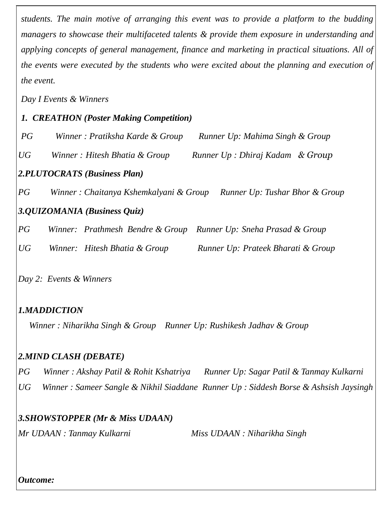*students. The main motive of arranging this event was to provide a platform to the budding managers to showcase their multifaceted talents & provide them exposure in understanding and applying concepts of general management, finance and marketing in practical situations. All of the events were executed by the students who were excited about the planning and execution of the event.* 

*Day I Events & Winners* 

#### *1. CREATHON (Poster Making Competition)*

| PG                                  |  | Winner : Pratiksha Karde & Group                                 | Runner Up: Mahima Singh & Group    |  |
|-------------------------------------|--|------------------------------------------------------------------|------------------------------------|--|
| UG                                  |  | Winner : Hitesh Bhatia & Group                                   | Runner Up : Dhiraj Kadam & Group   |  |
| <b>2.PLUTOCRATS (Business Plan)</b> |  |                                                                  |                                    |  |
| PG                                  |  | Winner : Chaitanya Kshemkalyani & Group                          | Runner Up: Tushar Bhor & Group     |  |
| 3.0UIZOMANIA (Business Quiz)        |  |                                                                  |                                    |  |
| PG                                  |  | Winner: Prathmesh Bendre & Group Runner Up: Sneha Prasad & Group |                                    |  |
| UG                                  |  | Winner: Hitesh Bhatia & Group                                    | Runner Up: Prateek Bharati & Group |  |

*Day 2: Events & Winners* 

### *1.MADDICTION*

 *Winner : Niharikha Singh & Group Runner Up: Rushikesh Jadhav & Group* 

### *2.MIND CLASH (DEBATE)*

- *PG Winner : Akshay Patil & Rohit Kshatriya Runner Up: Sagar Patil & Tanmay Kulkarni*
- *UG Winner : Sameer Sangle & Nikhil Siaddane Runner Up : Siddesh Borse & Ashsish Jaysingh*

### *3.SHOWSTOPPER (Mr & Miss UDAAN)*

*Mr UDAAN : Tanmay Kulkarni Miss UDAAN : Niharikha Singh* 

*Outcome:*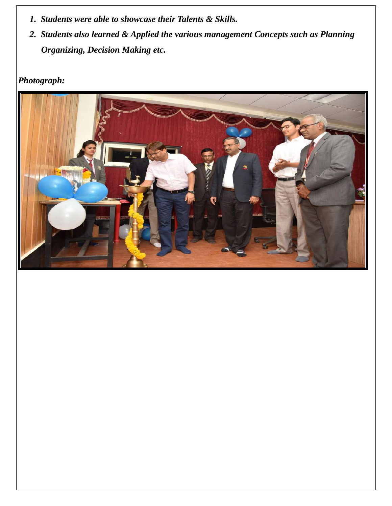- *1. Students were able to showcase their Talents & Skills.*
- *2. Students also learned & Applied the various management Concepts such as Planning Organizing, Decision Making etc.*

# *Photograph:*

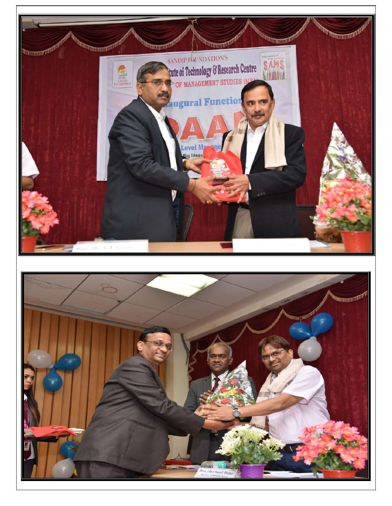

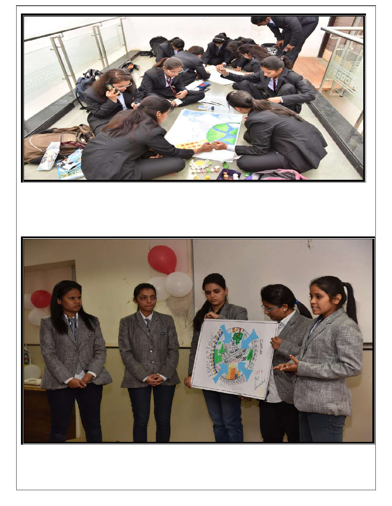

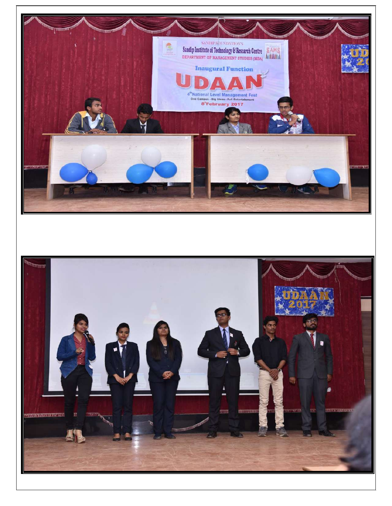

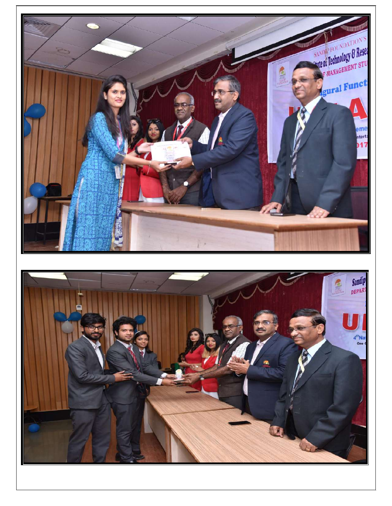